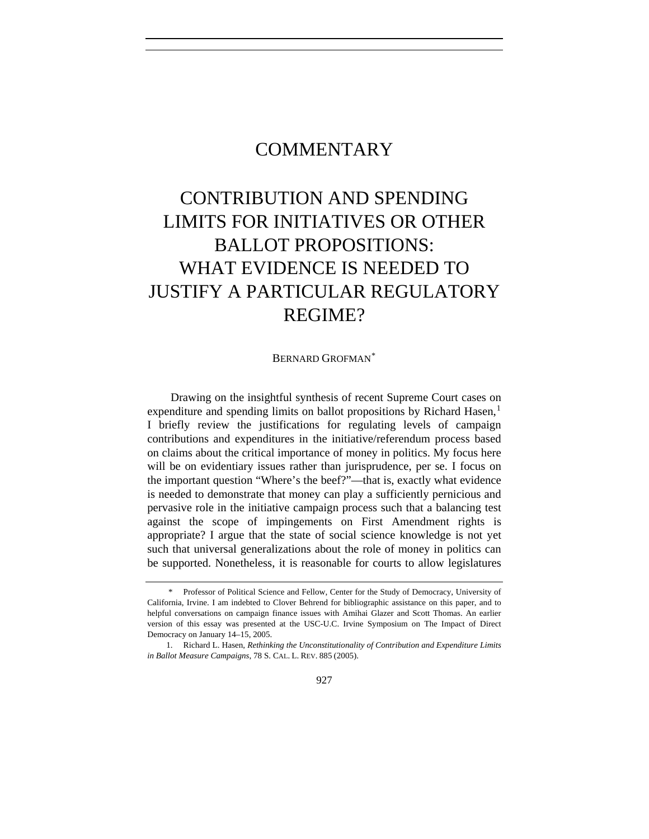# COMMENTARY

# CONTRIBUTION AND SPENDING LIMITS FOR INITIATIVES OR OTHER BALLOT PROPOSITIONS: WHAT EVIDENCE IS NEEDED TO JUSTIFY A PARTICULAR REGULATORY REGIME?

#### BERNARD GROFMAN[\\*](#page-0-0)

Drawing on the insightful synthesis of recent Supreme Court cases on expenditure and spending limits on ballot propositions by Richard Hasen,<sup>[1](#page-0-1)</sup> I briefly review the justifications for regulating levels of campaign contributions and expenditures in the initiative/referendum process based on claims about the critical importance of money in politics. My focus here will be on evidentiary issues rather than jurisprudence, per se. I focus on the important question "Where's the beef?"—that is, exactly what evidence is needed to demonstrate that money can play a sufficiently pernicious and pervasive role in the initiative campaign process such that a balancing test against the scope of impingements on First Amendment rights is appropriate? I argue that the state of social science knowledge is not yet such that universal generalizations about the role of money in politics can be supported. Nonetheless, it is reasonable for courts to allow legislatures

<span id="page-0-0"></span> <sup>\*</sup> Professor of Political Science and Fellow, Center for the Study of Democracy, University of California, Irvine. I am indebted to Clover Behrend for bibliographic assistance on this paper, and to helpful conversations on campaign finance issues with Amihai Glazer and Scott Thomas. An earlier version of this essay was presented at the USC-U.C. Irvine Symposium on The Impact of Direct Democracy on January 14–15, 2005.

<span id="page-0-1"></span> <sup>1.</sup> Richard L. Hasen, *Rethinking the Unconstitutionality of Contribution and Expenditure Limits in Ballot Measure Campaigns*, 78 S. CAL. L. REV. 885 (2005).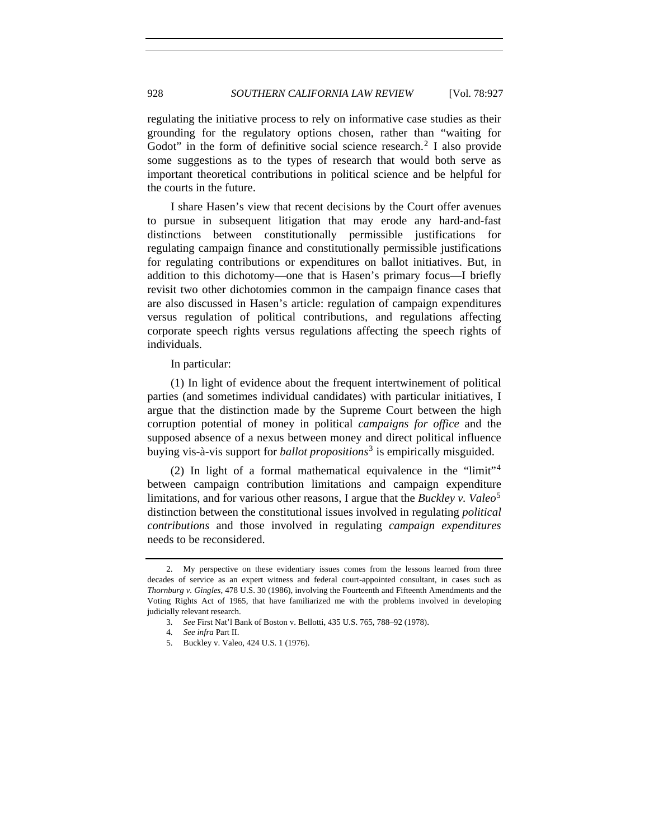regulating the initiative process to rely on informative case studies as their grounding for the regulatory options chosen, rather than "waiting for Godot" in the form of definitive social science research.<sup>[2](#page-1-0)</sup> I also provide some suggestions as to the types of research that would both serve as important theoretical contributions in political science and be helpful for the courts in the future.

I share Hasen's view that recent decisions by the Court offer avenues to pursue in subsequent litigation that may erode any hard-and-fast distinctions between constitutionally permissible justifications for regulating campaign finance and constitutionally permissible justifications for regulating contributions or expenditures on ballot initiatives. But, in addition to this dichotomy—one that is Hasen's primary focus—I briefly revisit two other dichotomies common in the campaign finance cases that are also discussed in Hasen's article: regulation of campaign expenditures versus regulation of political contributions, and regulations affecting corporate speech rights versus regulations affecting the speech rights of individuals.

In particular:

(1) In light of evidence about the frequent intertwinement of political parties (and sometimes individual candidates) with particular initiatives, I argue that the distinction made by the Supreme Court between the high corruption potential of money in political *campaigns for office* and the supposed absence of a nexus between money and direct political influence buying vis-à-vis support for *ballot propositions*[3](#page-1-1) is empirically misguided.

(2) In light of a formal mathematical equivalence in the "limit"[4](#page-1-2) between campaign contribution limitations and campaign expenditure limitations, and for various other reasons, I argue that the *Buckley v. Valeo*<sup>[5](#page-1-3)</sup> distinction between the constitutional issues involved in regulating *political contributions* and those involved in regulating *campaign expenditures* needs to be reconsidered.

<span id="page-1-0"></span> <sup>2.</sup> My perspective on these evidentiary issues comes from the lessons learned from three decades of service as an expert witness and federal court-appointed consultant, in cases such as *Thornburg v. Gingles*, 478 U.S. 30 (1986), involving the Fourteenth and Fifteenth Amendments and the Voting Rights Act of 1965, that have familiarized me with the problems involved in developing judicially relevant research.

<sup>3</sup>*. See* First Nat'l Bank of Boston v. Bellotti, 435 U.S. 765, 788–92 (1978).

<sup>4</sup>*. See infra* Part II.

<span id="page-1-3"></span><span id="page-1-2"></span><span id="page-1-1"></span> <sup>5.</sup> Buckley v. Valeo, 424 U.S. 1 (1976).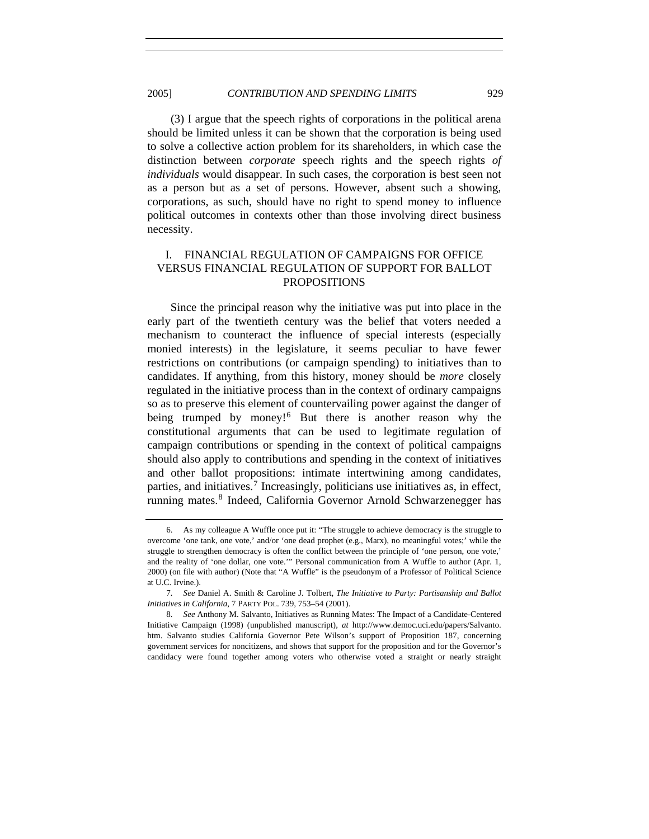(3) I argue that the speech rights of corporations in the political arena should be limited unless it can be shown that the corporation is being used to solve a collective action problem for its shareholders, in which case the distinction between *corporate* speech rights and the speech rights *of individuals* would disappear. In such cases, the corporation is best seen not as a person but as a set of persons. However, absent such a showing, corporations, as such, should have no right to spend money to influence political outcomes in contexts other than those involving direct business necessity.

# I. FINANCIAL REGULATION OF CAMPAIGNS FOR OFFICE VERSUS FINANCIAL REGULATION OF SUPPORT FOR BALLOT PROPOSITIONS

Since the principal reason why the initiative was put into place in the early part of the twentieth century was the belief that voters needed a mechanism to counteract the influence of special interests (especially monied interests) in the legislature, it seems peculiar to have fewer restrictions on contributions (or campaign spending) to initiatives than to candidates. If anything, from this history, money should be *more* closely regulated in the initiative process than in the context of ordinary campaigns so as to preserve this element of countervailing power against the danger of being trumped by money!<sup>[6](#page-2-0)</sup> But there is another reason why the constitutional arguments that can be used to legitimate regulation of campaign contributions or spending in the context of political campaigns should also apply to contributions and spending in the context of initiatives and other ballot propositions: intimate intertwining among candidates, parties, and initiatives.<sup>[7](#page-2-1)</sup> Increasingly, politicians use initiatives as, in effect, running mates.<sup>[8](#page-2-2)</sup> Indeed, California Governor Arnold Schwarzenegger has

<span id="page-2-0"></span> <sup>6.</sup> As my colleague A Wuffle once put it: "The struggle to achieve democracy is the struggle to overcome 'one tank, one vote,' and/or 'one dead prophet (e.g., Marx), no meaningful votes;' while the struggle to strengthen democracy is often the conflict between the principle of 'one person, one vote,' and the reality of 'one dollar, one vote.'" Personal communication from A Wuffle to author (Apr. 1, 2000) (on file with author) (Note that "A Wuffle" is the pseudonym of a Professor of Political Science at U.C. Irvine.).

<span id="page-2-1"></span><sup>7</sup>*. See* Daniel A. Smith & Caroline J. Tolbert, *The Initiative to Party: Partisanship and Ballot Initiatives in California*, 7 PARTY POL. 739, 753–54 (2001).

<span id="page-2-2"></span><sup>8</sup>*. See* Anthony M. Salvanto, Initiatives as Running Mates: The Impact of a Candidate-Centered Initiative Campaign (1998) (unpublished manuscript), *at* http://www.democ.uci.edu/papers/Salvanto. htm. Salvanto studies California Governor Pete Wilson's support of Proposition 187, concerning government services for noncitizens, and shows that support for the proposition and for the Governor's candidacy were found together among voters who otherwise voted a straight or nearly straight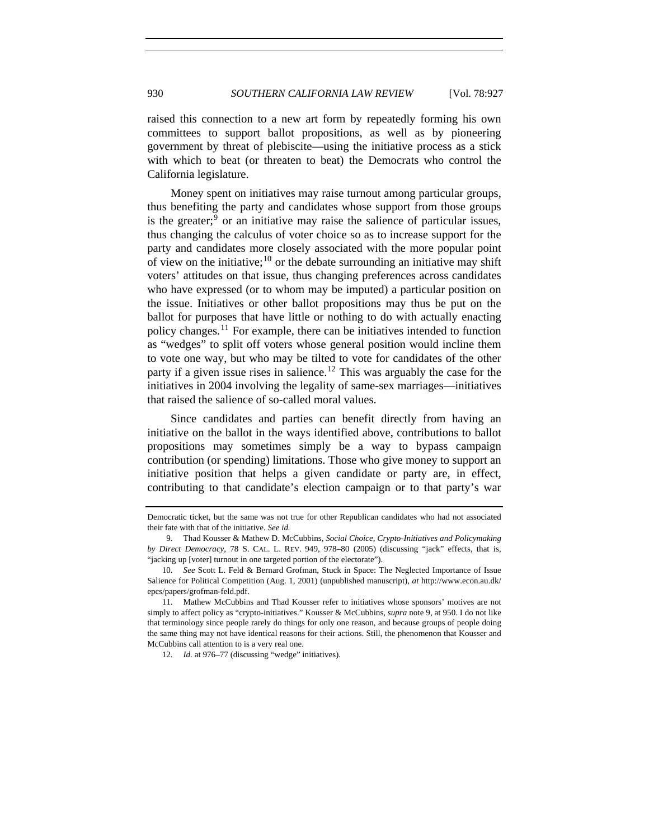raised this connection to a new art form by repeatedly forming his own committees to support ballot propositions, as well as by pioneering government by threat of plebiscite—using the initiative process as a stick with which to beat (or threaten to beat) the Democrats who control the California legislature.

Money spent on initiatives may raise turnout among particular groups, thus benefiting the party and candidates whose support from those groups is the greater; $9$  or an initiative may raise the salience of particular issues, thus changing the calculus of voter choice so as to increase support for the party and candidates more closely associated with the more popular point of view on the initiative; $^{10}$  $^{10}$  $^{10}$  or the debate surrounding an initiative may shift voters' attitudes on that issue, thus changing preferences across candidates who have expressed (or to whom may be imputed) a particular position on the issue. Initiatives or other ballot propositions may thus be put on the ballot for purposes that have little or nothing to do with actually enacting policy changes.[11](#page-3-2) For example, there can be initiatives intended to function as "wedges" to split off voters whose general position would incline them to vote one way, but who may be tilted to vote for candidates of the other party if a given issue rises in salience.<sup>[12](#page-3-3)</sup> This was arguably the case for the initiatives in 2004 involving the legality of same-sex marriages—initiatives that raised the salience of so-called moral values.

Since candidates and parties can benefit directly from having an initiative on the ballot in the ways identified above, contributions to ballot propositions may sometimes simply be a way to bypass campaign contribution (or spending) limitations. Those who give money to support an initiative position that helps a given candidate or party are, in effect, contributing to that candidate's election campaign or to that party's war

Democratic ticket, but the same was not true for other Republican candidates who had not associated their fate with that of the initiative. *See id.*

<span id="page-3-0"></span> <sup>9.</sup> Thad Kousser & Mathew D. McCubbins, *Social Choice, Crypto-Initiatives and Policymaking by Direct Democracy*, 78 S. CAL. L. REV. 949, 978–80 (2005) (discussing "jack" effects, that is, "jacking up [voter] turnout in one targeted portion of the electorate").

<span id="page-3-1"></span><sup>10</sup>*. See* Scott L. Feld & Bernard Grofman, Stuck in Space: The Neglected Importance of Issue Salience for Political Competition (Aug. 1, 2001) (unpublished manuscript), *at* http://www.econ.au.dk/ epcs/papers/grofman-feld.pdf.

<span id="page-3-3"></span><span id="page-3-2"></span> <sup>11.</sup> Mathew McCubbins and Thad Kousser refer to initiatives whose sponsors' motives are not simply to affect policy as "crypto-initiatives." Kousser & McCubbins, *supra* note 9, at 950. I do not like that terminology since people rarely do things for only one reason, and because groups of people doing the same thing may not have identical reasons for their actions. Still, the phenomenon that Kousser and McCubbins call attention to is a very real one.

<sup>12.</sup> *Id.* at 976–77 (discussing "wedge" initiatives).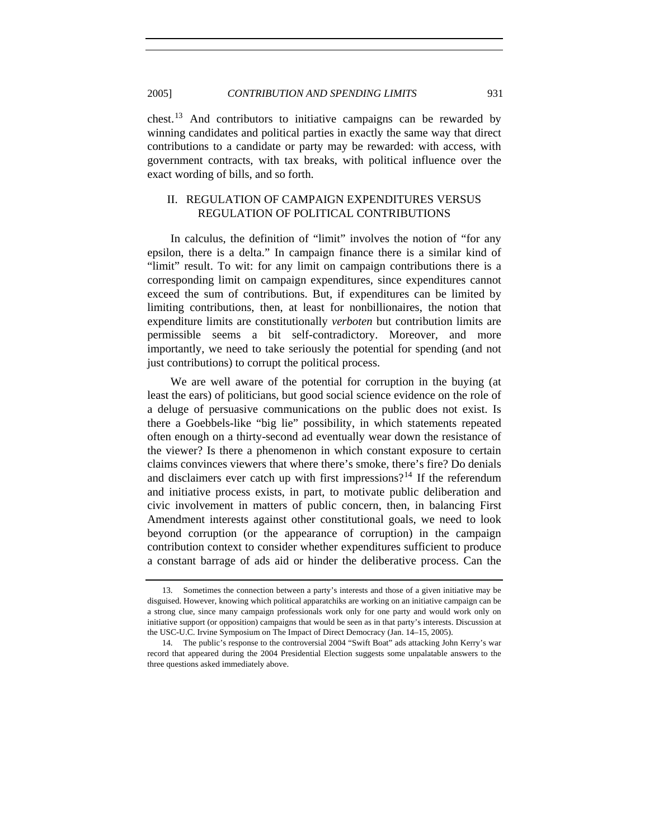chest.[13](#page-4-0) And contributors to initiative campaigns can be rewarded by winning candidates and political parties in exactly the same way that direct contributions to a candidate or party may be rewarded: with access, with government contracts, with tax breaks, with political influence over the exact wording of bills, and so forth.

# II. REGULATION OF CAMPAIGN EXPENDITURES VERSUS REGULATION OF POLITICAL CONTRIBUTIONS

In calculus, the definition of "limit" involves the notion of "for any epsilon, there is a delta." In campaign finance there is a similar kind of "limit" result. To wit: for any limit on campaign contributions there is a corresponding limit on campaign expenditures, since expenditures cannot exceed the sum of contributions. But, if expenditures can be limited by limiting contributions, then, at least for nonbillionaires, the notion that expenditure limits are constitutionally *verboten* but contribution limits are permissible seems a bit self-contradictory. Moreover, and more importantly, we need to take seriously the potential for spending (and not just contributions) to corrupt the political process.

We are well aware of the potential for corruption in the buying (at least the ears) of politicians, but good social science evidence on the role of a deluge of persuasive communications on the public does not exist. Is there a Goebbels-like "big lie" possibility, in which statements repeated often enough on a thirty-second ad eventually wear down the resistance of the viewer? Is there a phenomenon in which constant exposure to certain claims convinces viewers that where there's smoke, there's fire? Do denials and disclaimers ever catch up with first impressions?<sup>[14](#page-4-1)</sup> If the referendum and initiative process exists, in part, to motivate public deliberation and civic involvement in matters of public concern, then, in balancing First Amendment interests against other constitutional goals, we need to look beyond corruption (or the appearance of corruption) in the campaign contribution context to consider whether expenditures sufficient to produce a constant barrage of ads aid or hinder the deliberative process. Can the

<span id="page-4-0"></span> <sup>13.</sup> Sometimes the connection between a party's interests and those of a given initiative may be disguised. However, knowing which political apparatchiks are working on an initiative campaign can be a strong clue, since many campaign professionals work only for one party and would work only on initiative support (or opposition) campaigns that would be seen as in that party's interests. Discussion at the USC-U.C. Irvine Symposium on The Impact of Direct Democracy (Jan. 14–15, 2005).

<span id="page-4-1"></span> <sup>14.</sup> The public's response to the controversial 2004 "Swift Boat" ads attacking John Kerry's war record that appeared during the 2004 Presidential Election suggests some unpalatable answers to the three questions asked immediately above.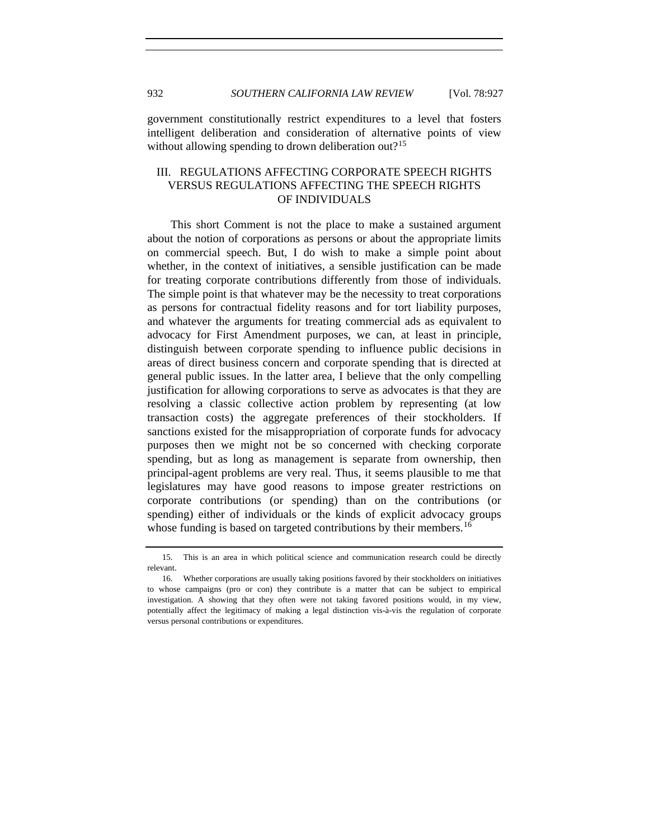government constitutionally restrict expenditures to a level that fosters intelligent deliberation and consideration of alternative points of view without allowing spending to drown deliberation out?<sup>[15](#page-5-0)</sup>

# III. REGULATIONS AFFECTING CORPORATE SPEECH RIGHTS VERSUS REGULATIONS AFFECTING THE SPEECH RIGHTS OF INDIVIDUALS

This short Comment is not the place to make a sustained argument about the notion of corporations as persons or about the appropriate limits on commercial speech. But, I do wish to make a simple point about whether, in the context of initiatives, a sensible justification can be made for treating corporate contributions differently from those of individuals. The simple point is that whatever may be the necessity to treat corporations as persons for contractual fidelity reasons and for tort liability purposes, and whatever the arguments for treating commercial ads as equivalent to advocacy for First Amendment purposes, we can, at least in principle, distinguish between corporate spending to influence public decisions in areas of direct business concern and corporate spending that is directed at general public issues. In the latter area, I believe that the only compelling justification for allowing corporations to serve as advocates is that they are resolving a classic collective action problem by representing (at low transaction costs) the aggregate preferences of their stockholders. If sanctions existed for the misappropriation of corporate funds for advocacy purposes then we might not be so concerned with checking corporate spending, but as long as management is separate from ownership, then principal-agent problems are very real. Thus, it seems plausible to me that legislatures may have good reasons to impose greater restrictions on corporate contributions (or spending) than on the contributions (or spending) either of individuals or the kinds of explicit advocacy groups whose funding is based on targeted contributions by their members.<sup>[16](#page-5-1)</sup>

<span id="page-5-0"></span> <sup>15.</sup> This is an area in which political science and communication research could be directly relevant.

<span id="page-5-1"></span> <sup>16.</sup> Whether corporations are usually taking positions favored by their stockholders on initiatives to whose campaigns (pro or con) they contribute is a matter that can be subject to empirical investigation. A showing that they often were not taking favored positions would, in my view, potentially affect the legitimacy of making a legal distinction vis-à-vis the regulation of corporate versus personal contributions or expenditures.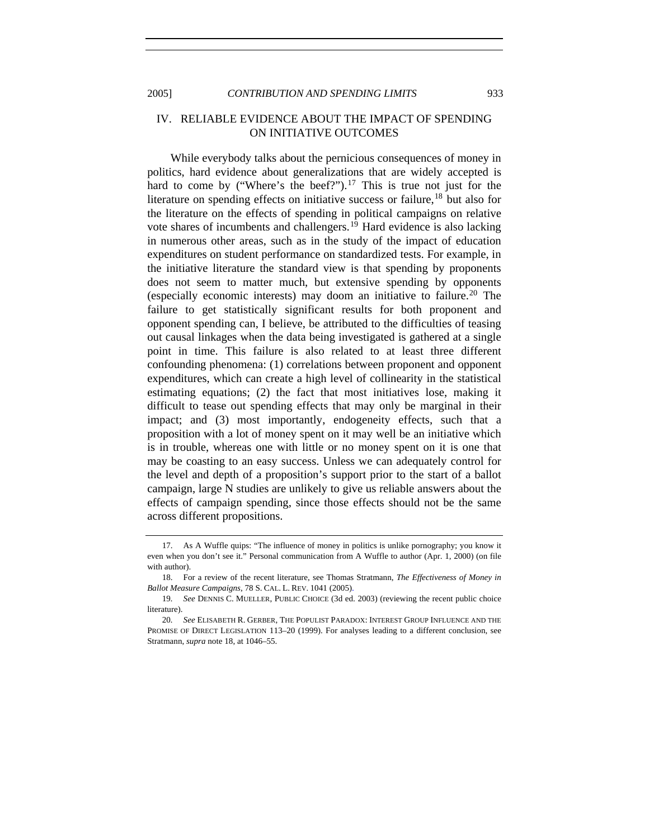2005] *CONTRIBUTION AND SPENDING LIMITS* 933

#### IV. RELIABLE EVIDENCE ABOUT THE IMPACT OF SPENDING ON INITIATIVE OUTCOMES

While everybody talks about the pernicious consequences of money in politics, hard evidence about generalizations that are widely accepted is hard to come by ("Where's the beef?").<sup>[17](#page-6-0)</sup> This is true not just for the literature on spending effects on initiative success or failure,  $18$  but also for the literature on the effects of spending in political campaigns on relative vote shares of incumbents and challengers.[19](#page-6-2) Hard evidence is also lacking in numerous other areas, such as in the study of the impact of education expenditures on student performance on standardized tests. For example, in the initiative literature the standard view is that spending by proponents does not seem to matter much, but extensive spending by opponents (especially economic interests) may doom an initiative to failure.[20](#page-6-3) The failure to get statistically significant results for both proponent and opponent spending can, I believe, be attributed to the difficulties of teasing out causal linkages when the data being investigated is gathered at a single point in time. This failure is also related to at least three different confounding phenomena: (1) correlations between proponent and opponent expenditures, which can create a high level of collinearity in the statistical estimating equations; (2) the fact that most initiatives lose, making it difficult to tease out spending effects that may only be marginal in their impact; and (3) most importantly, endogeneity effects, such that a proposition with a lot of money spent on it may well be an initiative which is in trouble, whereas one with little or no money spent on it is one that may be coasting to an easy success. Unless we can adequately control for the level and depth of a proposition's support prior to the start of a ballot campaign, large N studies are unlikely to give us reliable answers about the effects of campaign spending, since those effects should not be the same across different propositions.

<span id="page-6-0"></span> <sup>17.</sup> As A Wuffle quips: "The influence of money in politics is unlike pornography; you know it even when you don't see it." Personal communication from A Wuffle to author (Apr. 1, 2000) (on file with author).

<span id="page-6-1"></span> <sup>18.</sup> For a review of the recent literature, see Thomas Stratmann, *The Effectiveness of Money in Ballot Measure Campaigns*, 78 S. CAL. L. REV. 1041 (2005).

<span id="page-6-2"></span><sup>19</sup>*. See* DENNIS C. MUELLER, PUBLIC CHOICE (3d ed. 2003) (reviewing the recent public choice literature).

<span id="page-6-3"></span><sup>20</sup>*. See* ELISABETH R. GERBER, THE POPULIST PARADOX: INTEREST GROUP INFLUENCE AND THE PROMISE OF DIRECT LEGISLATION 113–20 (1999). For analyses leading to a different conclusion, see Stratmann, *supra* note 18, at 1046–55.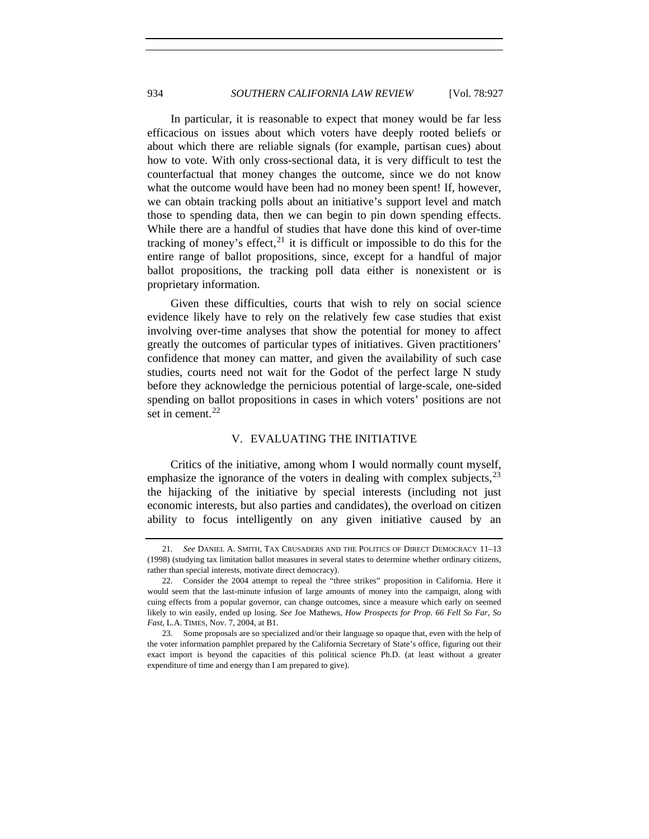In particular, it is reasonable to expect that money would be far less efficacious on issues about which voters have deeply rooted beliefs or about which there are reliable signals (for example, partisan cues) about how to vote. With only cross-sectional data, it is very difficult to test the counterfactual that money changes the outcome, since we do not know what the outcome would have been had no money been spent! If, however, we can obtain tracking polls about an initiative's support level and match those to spending data, then we can begin to pin down spending effects. While there are a handful of studies that have done this kind of over-time tracking of money's effect,  $2<sup>1</sup>$  it is difficult or impossible to do this for the entire range of ballot propositions, since, except for a handful of major ballot propositions, the tracking poll data either is nonexistent or is proprietary information.

Given these difficulties, courts that wish to rely on social science evidence likely have to rely on the relatively few case studies that exist involving over-time analyses that show the potential for money to affect greatly the outcomes of particular types of initiatives. Given practitioners' confidence that money can matter, and given the availability of such case studies, courts need not wait for the Godot of the perfect large N study before they acknowledge the pernicious potential of large-scale, one-sided spending on ballot propositions in cases in which voters' positions are not set in cement. $22$ 

#### V. EVALUATING THE INITIATIVE

Critics of the initiative, among whom I would normally count myself, emphasize the ignorance of the voters in dealing with complex subjects,  $2<sup>3</sup>$ the hijacking of the initiative by special interests (including not just economic interests, but also parties and candidates), the overload on citizen ability to focus intelligently on any given initiative caused by an

<span id="page-7-0"></span><sup>21</sup>*. See* DANIEL A. SMITH, TAX CRUSADERS AND THE POLITICS OF DIRECT DEMOCRACY 11–13 (1998) (studying tax limitation ballot measures in several states to determine whether ordinary citizens, rather than special interests, motivate direct democracy).

<span id="page-7-1"></span> <sup>22.</sup> Consider the 2004 attempt to repeal the "three strikes" proposition in California. Here it would seem that the last-minute infusion of large amounts of money into the campaign, along with cuing effects from a popular governor, can change outcomes, since a measure which early on seemed likely to win easily, ended up losing. *See* Joe Mathews, *How Prospects for Prop. 66 Fell So Far, So Fast*, L.A. TIMES, Nov. 7, 2004, at B1.

<span id="page-7-2"></span> <sup>23.</sup> Some proposals are so specialized and/or their language so opaque that, even with the help of the voter information pamphlet prepared by the California Secretary of State's office, figuring out their exact import is beyond the capacities of this political science Ph.D. (at least without a greater expenditure of time and energy than I am prepared to give).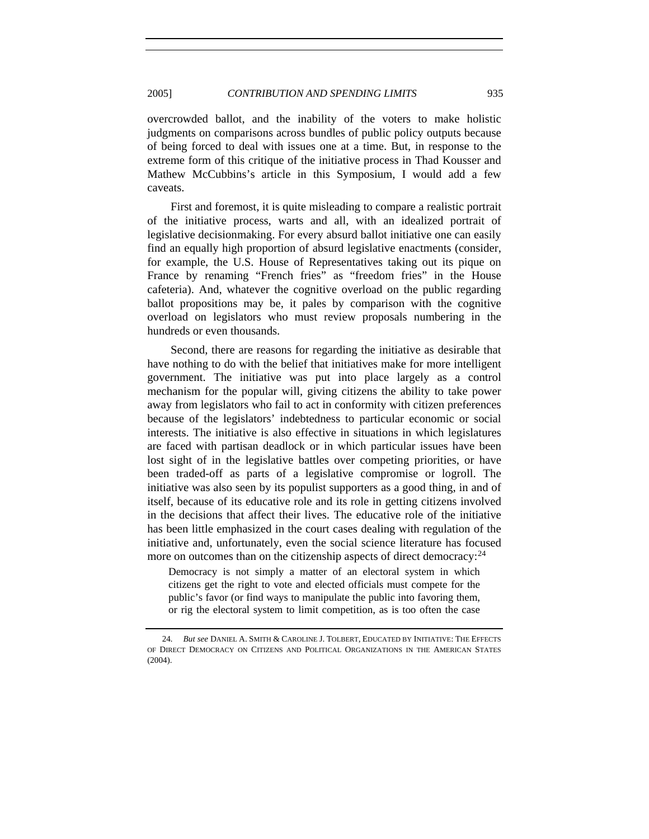overcrowded ballot, and the inability of the voters to make holistic judgments on comparisons across bundles of public policy outputs because of being forced to deal with issues one at a time. But, in response to the extreme form of this critique of the initiative process in Thad Kousser and Mathew McCubbins's article in this Symposium, I would add a few caveats.

First and foremost, it is quite misleading to compare a realistic portrait of the initiative process, warts and all, with an idealized portrait of legislative decisionmaking. For every absurd ballot initiative one can easily find an equally high proportion of absurd legislative enactments (consider, for example, the U.S. House of Representatives taking out its pique on France by renaming "French fries" as "freedom fries" in the House cafeteria). And, whatever the cognitive overload on the public regarding ballot propositions may be, it pales by comparison with the cognitive overload on legislators who must review proposals numbering in the hundreds or even thousands.

Second, there are reasons for regarding the initiative as desirable that have nothing to do with the belief that initiatives make for more intelligent government. The initiative was put into place largely as a control mechanism for the popular will, giving citizens the ability to take power away from legislators who fail to act in conformity with citizen preferences because of the legislators' indebtedness to particular economic or social interests. The initiative is also effective in situations in which legislatures are faced with partisan deadlock or in which particular issues have been lost sight of in the legislative battles over competing priorities, or have been traded-off as parts of a legislative compromise or logroll. The initiative was also seen by its populist supporters as a good thing, in and of itself, because of its educative role and its role in getting citizens involved in the decisions that affect their lives. The educative role of the initiative has been little emphasized in the court cases dealing with regulation of the initiative and, unfortunately, even the social science literature has focused more on outcomes than on the citizenship aspects of direct democracy:  $24$ 

Democracy is not simply a matter of an electoral system in which citizens get the right to vote and elected officials must compete for the public's favor (or find ways to manipulate the public into favoring them, or rig the electoral system to limit competition, as is too often the case

<span id="page-8-0"></span><sup>24</sup>*. But see* DANIEL A. SMITH & CAROLINE J. TOLBERT, EDUCATED BY INITIATIVE: THE EFFECTS OF DIRECT DEMOCRACY ON CITIZENS AND POLITICAL ORGANIZATIONS IN THE AMERICAN STATES  $(2004)$ .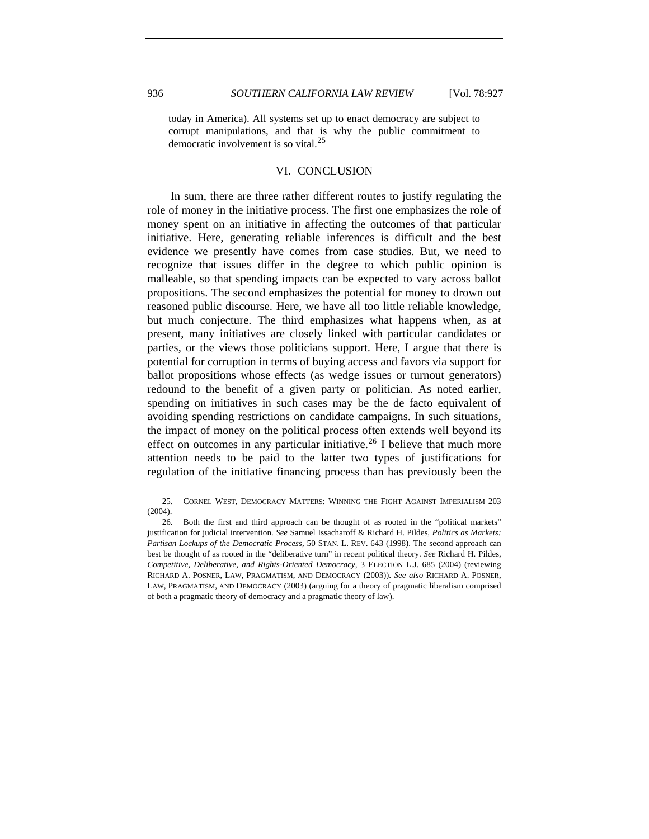today in America). All systems set up to enact democracy are subject to corrupt manipulations, and that is why the public commitment to democratic involvement is so vital. $^{25}$  $^{25}$  $^{25}$ 

#### VI. CONCLUSION

In sum, there are three rather different routes to justify regulating the role of money in the initiative process. The first one emphasizes the role of money spent on an initiative in affecting the outcomes of that particular initiative. Here, generating reliable inferences is difficult and the best evidence we presently have comes from case studies. But, we need to recognize that issues differ in the degree to which public opinion is malleable, so that spending impacts can be expected to vary across ballot propositions. The second emphasizes the potential for money to drown out reasoned public discourse. Here, we have all too little reliable knowledge, but much conjecture. The third emphasizes what happens when, as at present, many initiatives are closely linked with particular candidates or parties, or the views those politicians support. Here, I argue that there is potential for corruption in terms of buying access and favors via support for ballot propositions whose effects (as wedge issues or turnout generators) redound to the benefit of a given party or politician. As noted earlier, spending on initiatives in such cases may be the de facto equivalent of avoiding spending restrictions on candidate campaigns. In such situations, the impact of money on the political process often extends well beyond its effect on outcomes in any particular initiative.<sup>[26](#page-9-1)</sup> I believe that much more attention needs to be paid to the latter two types of justifications for regulation of the initiative financing process than has previously been the

<span id="page-9-0"></span> <sup>25.</sup> CORNEL WEST, DEMOCRACY MATTERS: WINNING THE FIGHT AGAINST IMPERIALISM 203 (2004).

<span id="page-9-1"></span> <sup>26.</sup> Both the first and third approach can be thought of as rooted in the "political markets" justification for judicial intervention. *See* Samuel Issacharoff & Richard H. Pildes, *Politics as Markets: Partisan Lockups of the Democratic Process*, 50 STAN. L. REV. 643 (1998). The second approach can best be thought of as rooted in the "deliberative turn" in recent political theory. *See* Richard H. Pildes, *Competitive, Deliberative, and Rights-Oriented Democracy*, 3 ELECTION L.J. 685 (2004) (reviewing RICHARD A. POSNER, LAW, PRAGMATISM, AND DEMOCRACY (2003)). *See also* RICHARD A. POSNER, LAW, PRAGMATISM, AND DEMOCRACY (2003) (arguing for a theory of pragmatic liberalism comprised of both a pragmatic theory of democracy and a pragmatic theory of law).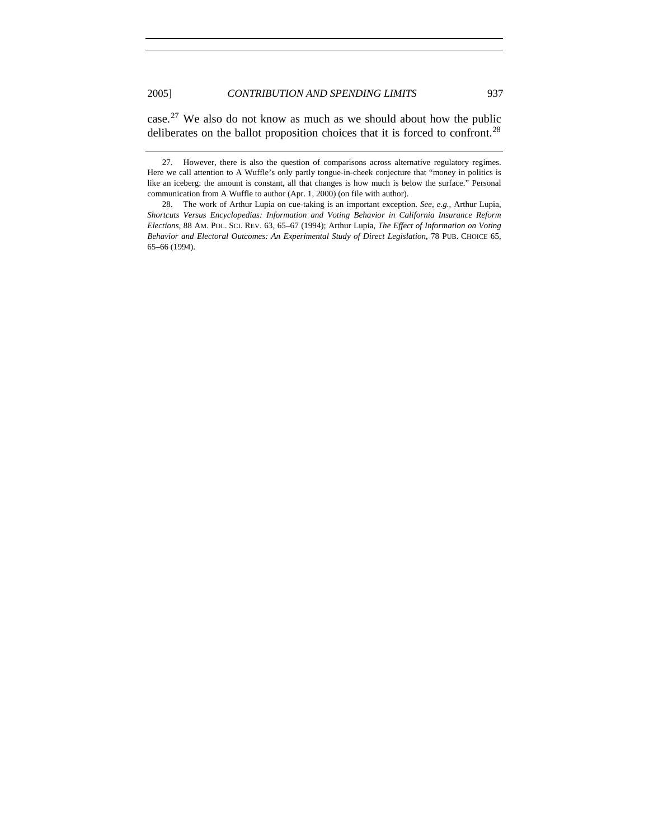case.[27](#page-10-0) We also do not know as much as we should about how the public deliberates on the ballot proposition choices that it is forced to confront.<sup>[28](#page-10-1)</sup>

<span id="page-10-0"></span> <sup>27.</sup> However, there is also the question of comparisons across alternative regulatory regimes. Here we call attention to A Wuffle's only partly tongue-in-cheek conjecture that "money in politics is like an iceberg: the amount is constant, all that changes is how much is below the surface." Personal communication from A Wuffle to author (Apr. 1, 2000) (on file with author).

<span id="page-10-1"></span> <sup>28.</sup> The work of Arthur Lupia on cue-taking is an important exception. *See, e.g.*, Arthur Lupia, *Shortcuts Versus Encyclopedias: Information and Voting Behavior in California Insurance Reform Elections*, 88 AM. POL. SCI. REV. 63, 65–67 (1994); Arthur Lupia, *The Effect of Information on Voting Behavior and Electoral Outcomes: An Experimental Study of Direct Legislation*, 78 PUB. CHOICE 65, 65–66 (1994).